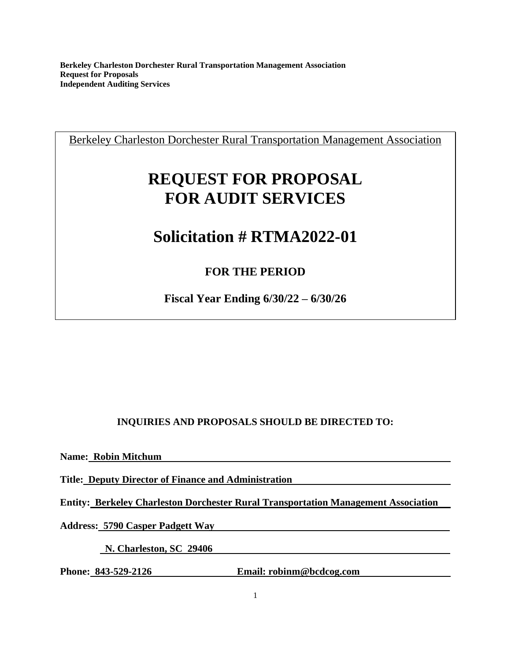Berkeley Charleston Dorchester Rural Transportation Management Association

# **REQUEST FOR PROPOSAL FOR AUDIT SERVICES**

# **Solicitation # RTMA2022-01**

# **FOR THE PERIOD**

**Fiscal Year Ending 6/30/22 – 6/30/26**

# **INQUIRIES AND PROPOSALS SHOULD BE DIRECTED TO:**

**Name: Robin Mitchum** 

**Title: Deputy Director of Finance and Administration** 

**Entity: Berkeley Charleston Dorchester Rural Transportation Management Association** 

**Address: 5790 Casper Padgett Way** 

 **N. Charleston, SC 29406** 

Phone: 843-529-2126 **Email: robinm@bcdcog.com**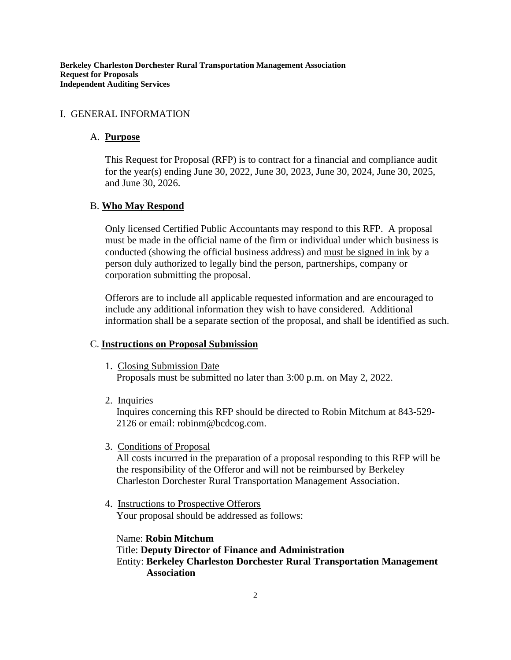#### I. GENERAL INFORMATION

#### A. **Purpose**

This Request for Proposal (RFP) is to contract for a financial and compliance audit for the year(s) ending June 30, 2022, June 30, 2023, June 30, 2024, June 30, 2025, and June 30, 2026.

#### B. **Who May Respond**

Only licensed Certified Public Accountants may respond to this RFP. A proposal must be made in the official name of the firm or individual under which business is conducted (showing the official business address) and must be signed in ink by a person duly authorized to legally bind the person, partnerships, company or corporation submitting the proposal.

Offerors are to include all applicable requested information and are encouraged to include any additional information they wish to have considered. Additional information shall be a separate section of the proposal, and shall be identified as such.

#### C. **Instructions on Proposal Submission**

1. Closing Submission Date

Proposals must be submitted no later than 3:00 p.m. on May 2, 2022.

2. Inquiries

Inquires concerning this RFP should be directed to Robin Mitchum at 843-529- 2126 or email: robinm@bcdcog.com.

3. Conditions of Proposal

All costs incurred in the preparation of a proposal responding to this RFP will be the responsibility of the Offeror and will not be reimbursed by Berkeley Charleston Dorchester Rural Transportation Management Association.

4. Instructions to Prospective Offerors Your proposal should be addressed as follows:

Name: **Robin Mitchum** Title: **Deputy Director of Finance and Administration** Entity: **Berkeley Charleston Dorchester Rural Transportation Management Association**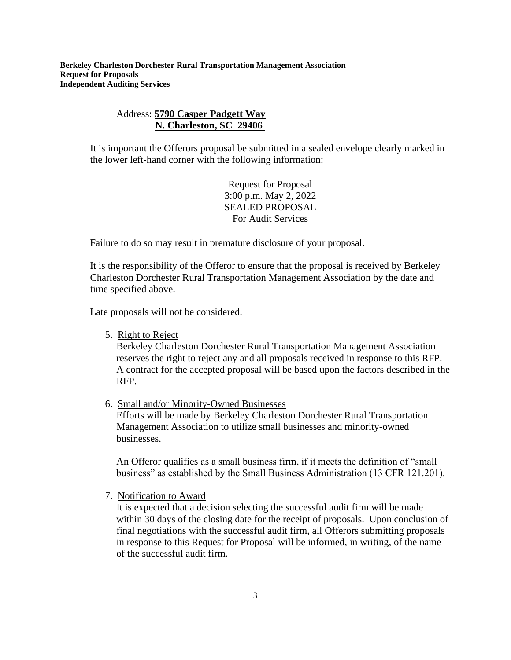# Address: **5790 Casper Padgett Way N. Charleston, SC 29406**

It is important the Offerors proposal be submitted in a sealed envelope clearly marked in the lower left-hand corner with the following information:

| <b>Request for Proposal</b> |  |
|-----------------------------|--|
| $3:00$ p.m. May 2, 2022     |  |
| <b>SEALED PROPOSAL</b>      |  |
| For Audit Services          |  |

Failure to do so may result in premature disclosure of your proposal.

It is the responsibility of the Offeror to ensure that the proposal is received by Berkeley Charleston Dorchester Rural Transportation Management Association by the date and time specified above.

Late proposals will not be considered.

5. Right to Reject

Berkeley Charleston Dorchester Rural Transportation Management Association reserves the right to reject any and all proposals received in response to this RFP. A contract for the accepted proposal will be based upon the factors described in the RFP.

6. Small and/or Minority-Owned Businesses

Efforts will be made by Berkeley Charleston Dorchester Rural Transportation Management Association to utilize small businesses and minority-owned businesses.

An Offeror qualifies as a small business firm, if it meets the definition of "small business" as established by the Small Business Administration (13 CFR 121.201).

7. Notification to Award

It is expected that a decision selecting the successful audit firm will be made within 30 days of the closing date for the receipt of proposals. Upon conclusion of final negotiations with the successful audit firm, all Offerors submitting proposals in response to this Request for Proposal will be informed, in writing, of the name of the successful audit firm.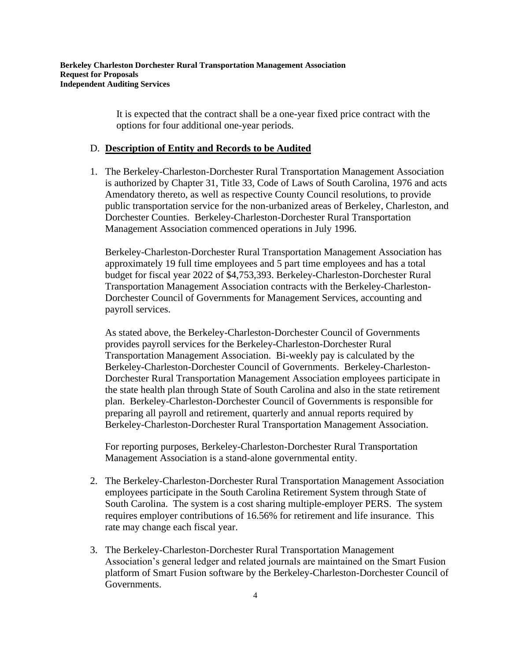It is expected that the contract shall be a one-year fixed price contract with the options for four additional one-year periods.

#### D. **Description of Entity and Records to be Audited**

1. The Berkeley-Charleston-Dorchester Rural Transportation Management Association is authorized by Chapter 31, Title 33, Code of Laws of South Carolina, 1976 and acts Amendatory thereto, as well as respective County Council resolutions, to provide public transportation service for the non-urbanized areas of Berkeley, Charleston, and Dorchester Counties. Berkeley-Charleston-Dorchester Rural Transportation Management Association commenced operations in July 1996.

Berkeley-Charleston-Dorchester Rural Transportation Management Association has approximately 19 full time employees and 5 part time employees and has a total budget for fiscal year 2022 of \$4,753,393. Berkeley-Charleston-Dorchester Rural Transportation Management Association contracts with the Berkeley-Charleston-Dorchester Council of Governments for Management Services, accounting and payroll services.

As stated above, the Berkeley-Charleston-Dorchester Council of Governments provides payroll services for the Berkeley-Charleston-Dorchester Rural Transportation Management Association. Bi-weekly pay is calculated by the Berkeley-Charleston-Dorchester Council of Governments. Berkeley-Charleston-Dorchester Rural Transportation Management Association employees participate in the state health plan through State of South Carolina and also in the state retirement plan. Berkeley-Charleston-Dorchester Council of Governments is responsible for preparing all payroll and retirement, quarterly and annual reports required by Berkeley-Charleston-Dorchester Rural Transportation Management Association.

For reporting purposes, Berkeley-Charleston-Dorchester Rural Transportation Management Association is a stand-alone governmental entity.

- 2. The Berkeley-Charleston-Dorchester Rural Transportation Management Association employees participate in the South Carolina Retirement System through State of South Carolina. The system is a cost sharing multiple-employer PERS. The system requires employer contributions of 16.56% for retirement and life insurance. This rate may change each fiscal year.
- 3. The Berkeley-Charleston-Dorchester Rural Transportation Management Association's general ledger and related journals are maintained on the Smart Fusion platform of Smart Fusion software by the Berkeley-Charleston-Dorchester Council of Governments.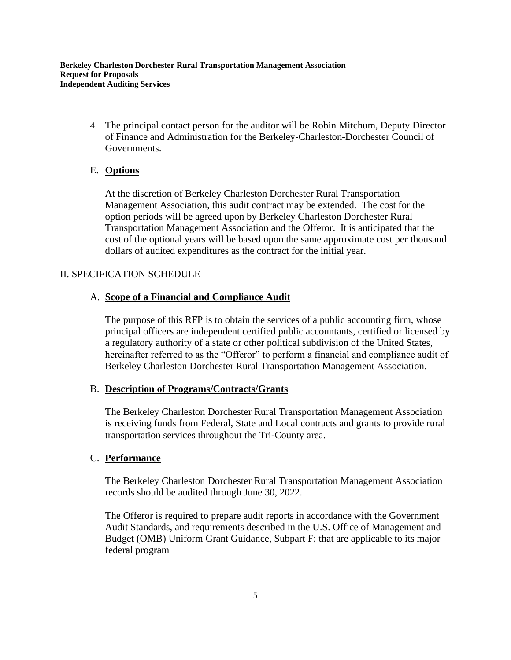4. The principal contact person for the auditor will be Robin Mitchum, Deputy Director of Finance and Administration for the Berkeley-Charleston-Dorchester Council of Governments.

# E. **Options**

At the discretion of Berkeley Charleston Dorchester Rural Transportation Management Association, this audit contract may be extended. The cost for the option periods will be agreed upon by Berkeley Charleston Dorchester Rural Transportation Management Association and the Offeror. It is anticipated that the cost of the optional years will be based upon the same approximate cost per thousand dollars of audited expenditures as the contract for the initial year.

# II. SPECIFICATION SCHEDULE

# A. **Scope of a Financial and Compliance Audit**

The purpose of this RFP is to obtain the services of a public accounting firm, whose principal officers are independent certified public accountants, certified or licensed by a regulatory authority of a state or other political subdivision of the United States, hereinafter referred to as the "Offeror" to perform a financial and compliance audit of Berkeley Charleston Dorchester Rural Transportation Management Association.

# B. **Description of Programs/Contracts/Grants**

The Berkeley Charleston Dorchester Rural Transportation Management Association is receiving funds from Federal, State and Local contracts and grants to provide rural transportation services throughout the Tri-County area.

# C. **Performance**

The Berkeley Charleston Dorchester Rural Transportation Management Association records should be audited through June 30, 2022.

The Offeror is required to prepare audit reports in accordance with the Government Audit Standards, and requirements described in the U.S. Office of Management and Budget (OMB) Uniform Grant Guidance, Subpart F; that are applicable to its major federal program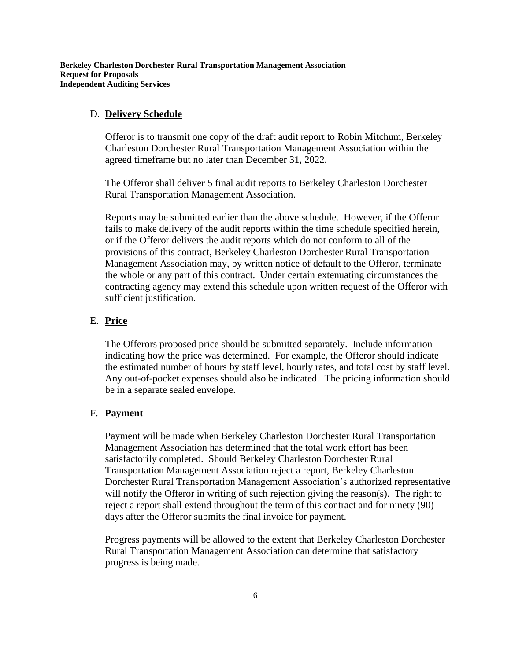#### D. **Delivery Schedule**

Offeror is to transmit one copy of the draft audit report to Robin Mitchum, Berkeley Charleston Dorchester Rural Transportation Management Association within the agreed timeframe but no later than December 31, 2022.

The Offeror shall deliver 5 final audit reports to Berkeley Charleston Dorchester Rural Transportation Management Association.

Reports may be submitted earlier than the above schedule. However, if the Offeror fails to make delivery of the audit reports within the time schedule specified herein, or if the Offeror delivers the audit reports which do not conform to all of the provisions of this contract, Berkeley Charleston Dorchester Rural Transportation Management Association may, by written notice of default to the Offeror, terminate the whole or any part of this contract. Under certain extenuating circumstances the contracting agency may extend this schedule upon written request of the Offeror with sufficient justification.

#### E. **Price**

The Offerors proposed price should be submitted separately. Include information indicating how the price was determined. For example, the Offeror should indicate the estimated number of hours by staff level, hourly rates, and total cost by staff level. Any out-of-pocket expenses should also be indicated. The pricing information should be in a separate sealed envelope.

#### F. **Payment**

Payment will be made when Berkeley Charleston Dorchester Rural Transportation Management Association has determined that the total work effort has been satisfactorily completed. Should Berkeley Charleston Dorchester Rural Transportation Management Association reject a report, Berkeley Charleston Dorchester Rural Transportation Management Association's authorized representative will notify the Offeror in writing of such rejection giving the reason(s). The right to reject a report shall extend throughout the term of this contract and for ninety (90) days after the Offeror submits the final invoice for payment.

Progress payments will be allowed to the extent that Berkeley Charleston Dorchester Rural Transportation Management Association can determine that satisfactory progress is being made.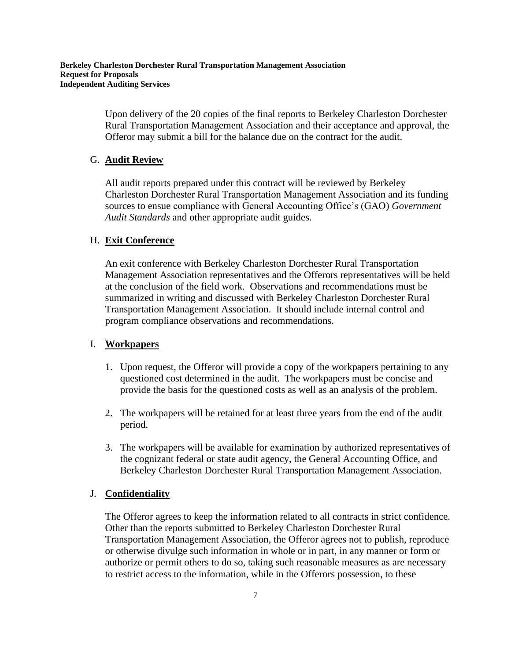Upon delivery of the 20 copies of the final reports to Berkeley Charleston Dorchester Rural Transportation Management Association and their acceptance and approval, the Offeror may submit a bill for the balance due on the contract for the audit.

### G. **Audit Review**

All audit reports prepared under this contract will be reviewed by Berkeley Charleston Dorchester Rural Transportation Management Association and its funding sources to ensue compliance with General Accounting Office's (GAO) *Government Audit Standards* and other appropriate audit guides.

### H. **Exit Conference**

An exit conference with Berkeley Charleston Dorchester Rural Transportation Management Association representatives and the Offerors representatives will be held at the conclusion of the field work. Observations and recommendations must be summarized in writing and discussed with Berkeley Charleston Dorchester Rural Transportation Management Association. It should include internal control and program compliance observations and recommendations.

#### I. **Workpapers**

- 1. Upon request, the Offeror will provide a copy of the workpapers pertaining to any questioned cost determined in the audit. The workpapers must be concise and provide the basis for the questioned costs as well as an analysis of the problem.
- 2. The workpapers will be retained for at least three years from the end of the audit period.
- 3. The workpapers will be available for examination by authorized representatives of the cognizant federal or state audit agency, the General Accounting Office, and Berkeley Charleston Dorchester Rural Transportation Management Association.

# J. **Confidentiality**

The Offeror agrees to keep the information related to all contracts in strict confidence. Other than the reports submitted to Berkeley Charleston Dorchester Rural Transportation Management Association, the Offeror agrees not to publish, reproduce or otherwise divulge such information in whole or in part, in any manner or form or authorize or permit others to do so, taking such reasonable measures as are necessary to restrict access to the information, while in the Offerors possession, to these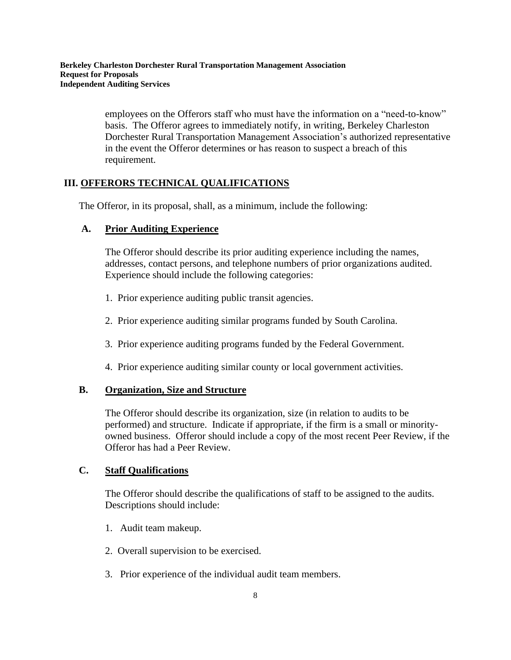employees on the Offerors staff who must have the information on a "need-to-know" basis. The Offeror agrees to immediately notify, in writing, Berkeley Charleston Dorchester Rural Transportation Management Association's authorized representative in the event the Offeror determines or has reason to suspect a breach of this requirement.

# **III. OFFERORS TECHNICAL QUALIFICATIONS**

The Offeror, in its proposal, shall, as a minimum, include the following:

# **A. Prior Auditing Experience**

The Offeror should describe its prior auditing experience including the names, addresses, contact persons, and telephone numbers of prior organizations audited. Experience should include the following categories:

- 1. Prior experience auditing public transit agencies.
- 2. Prior experience auditing similar programs funded by South Carolina.
- 3. Prior experience auditing programs funded by the Federal Government.
- 4. Prior experience auditing similar county or local government activities.

# **B. Organization, Size and Structure**

The Offeror should describe its organization, size (in relation to audits to be performed) and structure. Indicate if appropriate, if the firm is a small or minorityowned business. Offeror should include a copy of the most recent Peer Review, if the Offeror has had a Peer Review.

# **C. Staff Qualifications**

The Offeror should describe the qualifications of staff to be assigned to the audits. Descriptions should include:

- 1. Audit team makeup.
- 2. Overall supervision to be exercised.
- 3. Prior experience of the individual audit team members.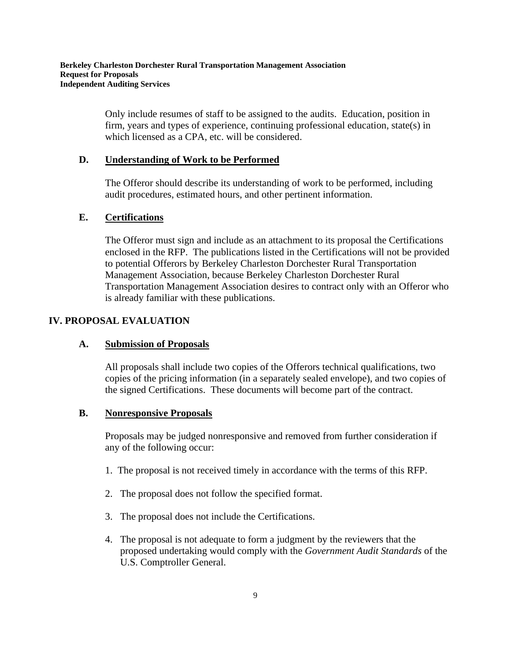Only include resumes of staff to be assigned to the audits. Education, position in firm, years and types of experience, continuing professional education, state(s) in which licensed as a CPA, etc. will be considered.

# **D. Understanding of Work to be Performed**

The Offeror should describe its understanding of work to be performed, including audit procedures, estimated hours, and other pertinent information.

# **E. Certifications**

The Offeror must sign and include as an attachment to its proposal the Certifications enclosed in the RFP. The publications listed in the Certifications will not be provided to potential Offerors by Berkeley Charleston Dorchester Rural Transportation Management Association, because Berkeley Charleston Dorchester Rural Transportation Management Association desires to contract only with an Offeror who is already familiar with these publications.

# **IV. PROPOSAL EVALUATION**

# **A. Submission of Proposals**

All proposals shall include two copies of the Offerors technical qualifications, two copies of the pricing information (in a separately sealed envelope), and two copies of the signed Certifications. These documents will become part of the contract.

# **B. Nonresponsive Proposals**

Proposals may be judged nonresponsive and removed from further consideration if any of the following occur:

- 1. The proposal is not received timely in accordance with the terms of this RFP.
- 2. The proposal does not follow the specified format.
- 3. The proposal does not include the Certifications.
- 4. The proposal is not adequate to form a judgment by the reviewers that the proposed undertaking would comply with the *Government Audit Standards* of the U.S. Comptroller General.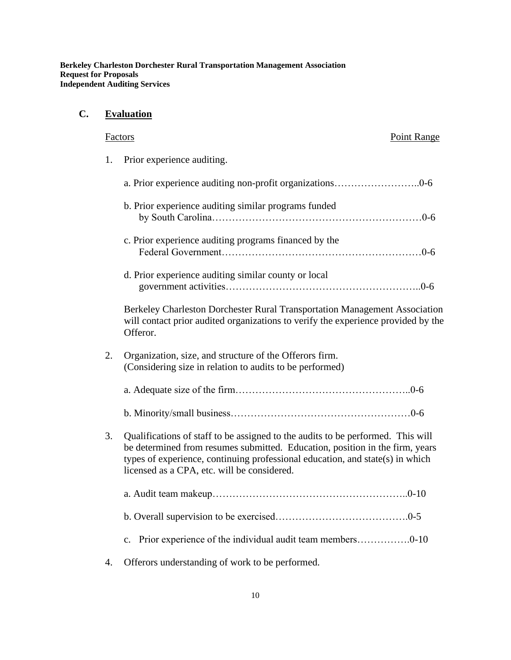# **C. Evaluation**

# Factors Point Range

1. Prior experience auditing.

|    | b. Prior experience auditing similar programs funded                                                                                                                                                                                                                                            |
|----|-------------------------------------------------------------------------------------------------------------------------------------------------------------------------------------------------------------------------------------------------------------------------------------------------|
|    | c. Prior experience auditing programs financed by the                                                                                                                                                                                                                                           |
|    | d. Prior experience auditing similar county or local                                                                                                                                                                                                                                            |
|    | Berkeley Charleston Dorchester Rural Transportation Management Association<br>will contact prior audited organizations to verify the experience provided by the<br>Offeror.                                                                                                                     |
| 2. | Organization, size, and structure of the Offerors firm.<br>(Considering size in relation to audits to be performed)                                                                                                                                                                             |
|    |                                                                                                                                                                                                                                                                                                 |
|    |                                                                                                                                                                                                                                                                                                 |
| 3. | Qualifications of staff to be assigned to the audits to be performed. This will<br>be determined from resumes submitted. Education, position in the firm, years<br>types of experience, continuing professional education, and state(s) in which<br>licensed as a CPA, etc. will be considered. |
|    |                                                                                                                                                                                                                                                                                                 |
|    |                                                                                                                                                                                                                                                                                                 |
|    | c. Prior experience of the individual audit team members0-10                                                                                                                                                                                                                                    |
| 4. | Offerors understanding of work to be performed.                                                                                                                                                                                                                                                 |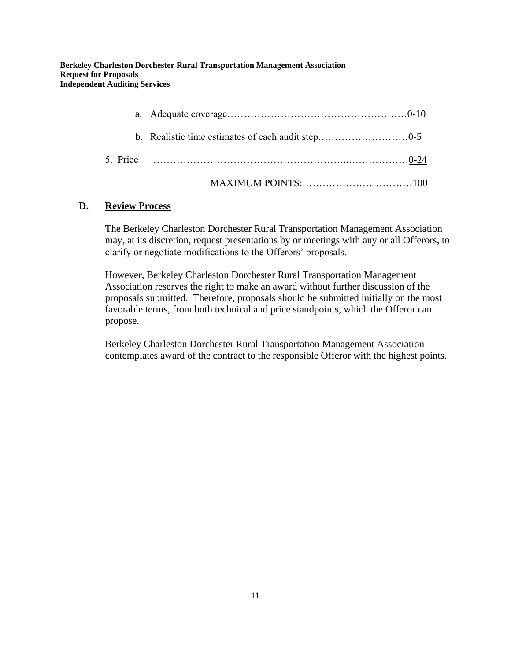### **D. Review Process**

The Berkeley Charleston Dorchester Rural Transportation Management Association may, at its discretion, request presentations by or meetings with any or all Offerors, to clarify or negotiate modifications to the Offerors' proposals.

However, Berkeley Charleston Dorchester Rural Transportation Management Association reserves the right to make an award without further discussion of the proposals submitted. Therefore, proposals should be submitted initially on the most favorable terms, from both technical and price standpoints, which the Offeror can propose.

Berkeley Charleston Dorchester Rural Transportation Management Association contemplates award of the contract to the responsible Offeror with the highest points.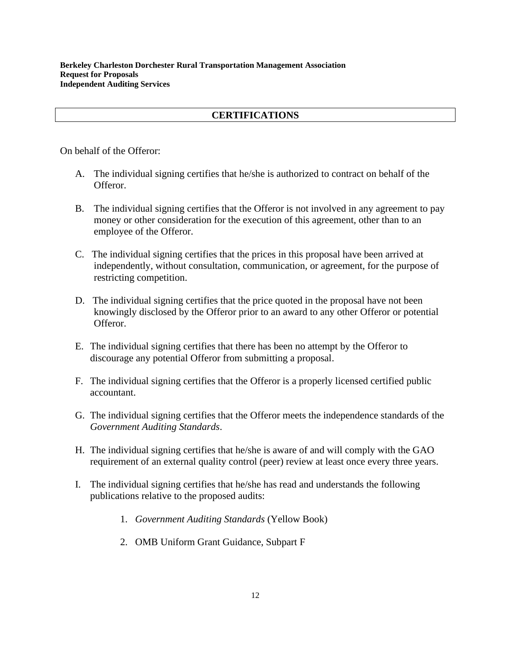# **CERTIFICATIONS**

On behalf of the Offeror:

- A. The individual signing certifies that he/she is authorized to contract on behalf of the Offeror.
- B. The individual signing certifies that the Offeror is not involved in any agreement to pay money or other consideration for the execution of this agreement, other than to an employee of the Offeror.
- C. The individual signing certifies that the prices in this proposal have been arrived at independently, without consultation, communication, or agreement, for the purpose of restricting competition.
- D. The individual signing certifies that the price quoted in the proposal have not been knowingly disclosed by the Offeror prior to an award to any other Offeror or potential Offeror.
- E. The individual signing certifies that there has been no attempt by the Offeror to discourage any potential Offeror from submitting a proposal.
- F. The individual signing certifies that the Offeror is a properly licensed certified public accountant.
- G. The individual signing certifies that the Offeror meets the independence standards of the *Government Auditing Standards*.
- H. The individual signing certifies that he/she is aware of and will comply with the GAO requirement of an external quality control (peer) review at least once every three years.
- I. The individual signing certifies that he/she has read and understands the following publications relative to the proposed audits:
	- 1. *Government Auditing Standards* (Yellow Book)
	- 2. OMB Uniform Grant Guidance, Subpart F